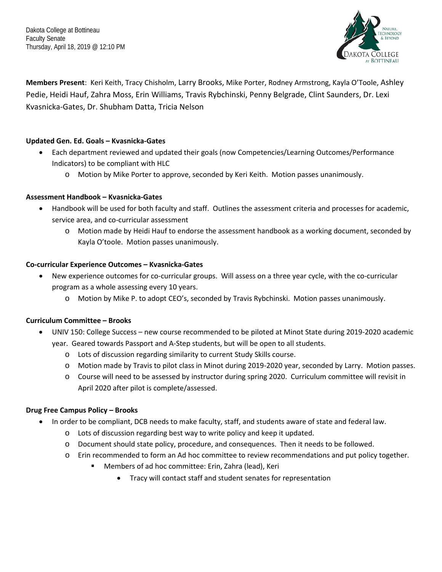Dakota College at Bottineau Faculty Senate Thursday, April 18, 2019 @ 12:10 PM



**Members Present**: Keri Keith, Tracy Chisholm, Larry Brooks, Mike Porter, Rodney Armstrong, Kayla O'Toole, Ashley Pedie, Heidi Hauf, Zahra Moss, Erin Williams, Travis Rybchinski, Penny Belgrade, Clint Saunders, Dr. Lexi Kvasnicka-Gates, Dr. Shubham Datta, Tricia Nelson

# **Updated Gen. Ed. Goals – Kvasnicka-Gates**

- Each department reviewed and updated their goals (now Competencies/Learning Outcomes/Performance Indicators) to be compliant with HLC
	- o Motion by Mike Porter to approve, seconded by Keri Keith. Motion passes unanimously.

### **Assessment Handbook – Kvasnicka-Gates**

- Handbook will be used for both faculty and staff. Outlines the assessment criteria and processes for academic, service area, and co-curricular assessment
	- o Motion made by Heidi Hauf to endorse the assessment handbook as a working document, seconded by Kayla O'toole. Motion passes unanimously.

### **Co-curricular Experience Outcomes – Kvasnicka-Gates**

- New experience outcomes for co-curricular groups. Will assess on a three year cycle, with the co-curricular program as a whole assessing every 10 years.
	- o Motion by Mike P. to adopt CEO's, seconded by Travis Rybchinski. Motion passes unanimously.

### **Curriculum Committee – Brooks**

- UNIV 150: College Success new course recommended to be piloted at Minot State during 2019-2020 academic year. Geared towards Passport and A-Step students, but will be open to all students.
	- o Lots of discussion regarding similarity to current Study Skills course.
	- o Motion made by Travis to pilot class in Minot during 2019-2020 year, seconded by Larry. Motion passes.
	- o Course will need to be assessed by instructor during spring 2020. Curriculum committee will revisit in April 2020 after pilot is complete/assessed.

### **Drug Free Campus Policy – Brooks**

- In order to be compliant, DCB needs to make faculty, staff, and students aware of state and federal law.
	- o Lots of discussion regarding best way to write policy and keep it updated.
	- o Document should state policy, procedure, and consequences. Then it needs to be followed.
	- o Erin recommended to form an Ad hoc committee to review recommendations and put policy together.
		- Members of ad hoc committee: Erin, Zahra (lead), Keri
			- Tracy will contact staff and student senates for representation